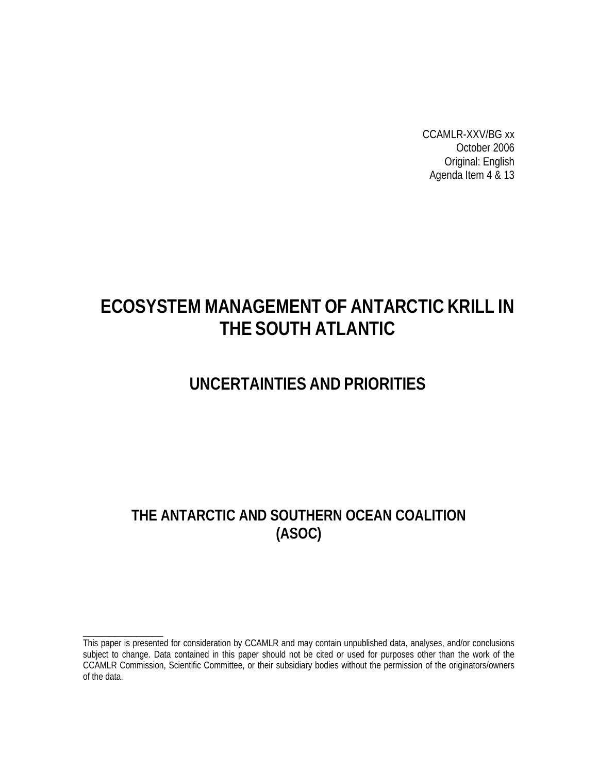CCAMLR-XXV/BG xx October 2006 Original: English Agenda Item 4 & 13

# **ECOSYSTEM MANAGEMENT OF ANTARCTIC KRILL IN THE SOUTH ATLANTIC**

## **UNCERTAINTIES AND PRIORITIES**

## **THE ANTARCTIC AND SOUTHERN OCEAN COALITION (ASOC)**

\_\_\_\_\_\_\_\_\_\_\_\_\_\_\_

This paper is presented for consideration by CCAMLR and may contain unpublished data, analyses, and/or conclusions subject to change. Data contained in this paper should not be cited or used for purposes other than the work of the CCAMLR Commission, Scientific Committee, or their subsidiary bodies without the permission of the originators/owners of the data.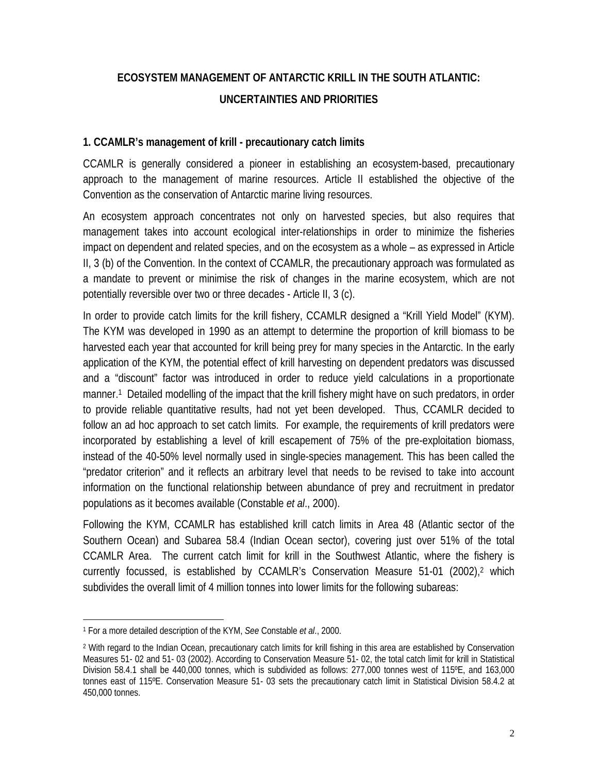## **ECOSYSTEM MANAGEMENT OF ANTARCTIC KRILL IN THE SOUTH ATLANTIC: UNCERTAINTIES AND PRIORITIES**

#### **1. CCAMLR's management of krill - precautionary catch limits**

CCAMLR is generally considered a pioneer in establishing an ecosystem-based, precautionary approach to the management of marine resources. Article II established the objective of the Convention as the conservation of Antarctic marine living resources.

An ecosystem approach concentrates not only on harvested species, but also requires that management takes into account ecological inter-relationships in order to minimize the fisheries impact on dependent and related species, and on the ecosystem as a whole – as expressed in Article II, 3 (b) of the Convention. In the context of CCAMLR, the precautionary approach was formulated as a mandate to prevent or minimise the risk of changes in the marine ecosystem, which are not potentially reversible over two or three decades - Article II, 3 (c).

In order to provide catch limits for the krill fishery, CCAMLR designed a "Krill Yield Model" (KYM). The KYM was developed in 1990 as an attempt to determine the proportion of krill biomass to be harvested each year that accounted for krill being prey for many species in the Antarctic. In the early application of the KYM, the potential effect of krill harvesting on dependent predators was discussed and a "discount" factor was introduced in order to reduce yield calculations in a proportionate manner.1 Detailed modelling of the impact that the krill fishery might have on such predators, in order to provide reliable quantitative results, had not yet been developed. Thus, CCAMLR decided to follow an ad hoc approach to set catch limits. For example, the requirements of krill predators were incorporated by establishing a level of krill escapement of 75% of the pre-exploitation biomass, instead of the 40-50% level normally used in single-species management. This has been called the "predator criterion" and it reflects an arbitrary level that needs to be revised to take into account information on the functional relationship between abundance of prey and recruitment in predator populations as it becomes available (Constable *et al*., 2000).

Following the KYM, CCAMLR has established krill catch limits in Area 48 (Atlantic sector of the Southern Ocean) and Subarea 58.4 (Indian Ocean sector), covering just over 51% of the total CCAMLR Area. The current catch limit for krill in the Southwest Atlantic, where the fishery is currently focussed, is established by CCAMLR's Conservation Measure 51-01 (2002),2 which subdivides the overall limit of 4 million tonnes into lower limits for the following subareas:

<sup>÷</sup> 1 For a more detailed description of the KYM, *See* Constable *et al*., 2000.

<sup>2</sup> With regard to the Indian Ocean, precautionary catch limits for krill fishing in this area are established by Conservation Measures 51- 02 and 51- 03 (2002). According to Conservation Measure 51- 02, the total catch limit for krill in Statistical Division 58.4.1 shall be 440,000 tonnes, which is subdivided as follows: 277,000 tonnes west of 115ºE, and 163,000 tonnes east of 115ºE. Conservation Measure 51- 03 sets the precautionary catch limit in Statistical Division 58.4.2 at 450,000 tonnes.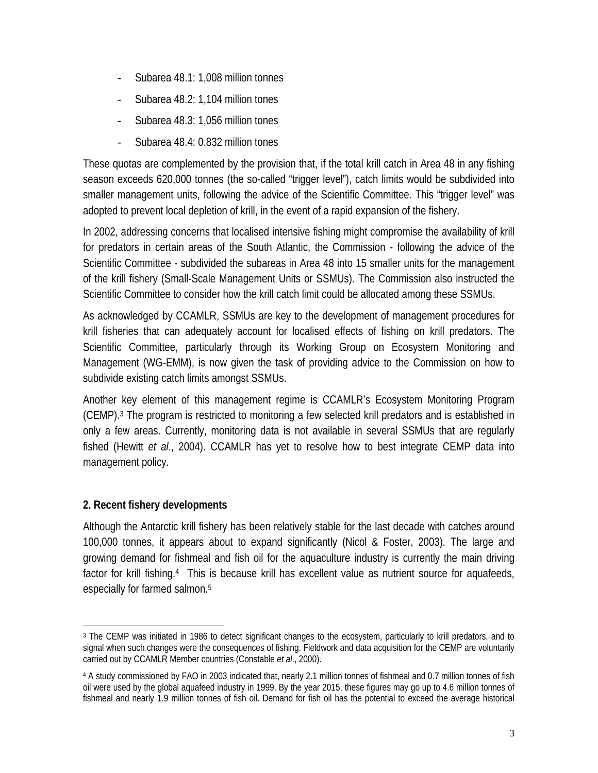- Subarea 48.1: 1,008 million tonnes
- Subarea 48.2: 1,104 million tones
- Subarea 48.3: 1,056 million tones
- Subarea 48.4: 0.832 million tones

These quotas are complemented by the provision that, if the total krill catch in Area 48 in any fishing season exceeds 620,000 tonnes (the so-called "trigger level"), catch limits would be subdivided into smaller management units, following the advice of the Scientific Committee. This "trigger level" was adopted to prevent local depletion of krill, in the event of a rapid expansion of the fishery.

In 2002, addressing concerns that localised intensive fishing might compromise the availability of krill for predators in certain areas of the South Atlantic, the Commission - following the advice of the Scientific Committee - subdivided the subareas in Area 48 into 15 smaller units for the management of the krill fishery (Small-Scale Management Units or SSMUs). The Commission also instructed the Scientific Committee to consider how the krill catch limit could be allocated among these SSMUs.

As acknowledged by CCAMLR, SSMUs are key to the development of management procedures for krill fisheries that can adequately account for localised effects of fishing on krill predators. The Scientific Committee, particularly through its Working Group on Ecosystem Monitoring and Management (WG-EMM), is now given the task of providing advice to the Commission on how to subdivide existing catch limits amongst SSMUs.

Another key element of this management regime is CCAMLR's Ecosystem Monitoring Program (CEMP).3 The program is restricted to monitoring a few selected krill predators and is established in only a few areas. Currently, monitoring data is not available in several SSMUs that are regularly fished (Hewitt *et al*., 2004). CCAMLR has yet to resolve how to best integrate CEMP data into management policy.

#### **2. Recent fishery developments**

Although the Antarctic krill fishery has been relatively stable for the last decade with catches around 100,000 tonnes, it appears about to expand significantly (Nicol & Foster, 2003). The large and growing demand for fishmeal and fish oil for the aquaculture industry is currently the main driving factor for krill fishing.<sup>4</sup> This is because krill has excellent value as nutrient source for aquafeeds, especially for farmed salmon.5

<sup>÷</sup> 3 The CEMP was initiated in 1986 to detect significant changes to the ecosystem, particularly to krill predators, and to signal when such changes were the consequences of fishing. Fieldwork and data acquisition for the CEMP are voluntarily carried out by CCAMLR Member countries (Constable *et al*., 2000).

<sup>4</sup> A study commissioned by FAO in 2003 indicated that, nearly 2.1 million tonnes of fishmeal and 0.7 million tonnes of fish oil were used by the global aquafeed industry in 1999. By the year 2015, these figures may go up to 4.6 million tonnes of fishmeal and nearly 1.9 million tonnes of fish oil. Demand for fish oil has the potential to exceed the average historical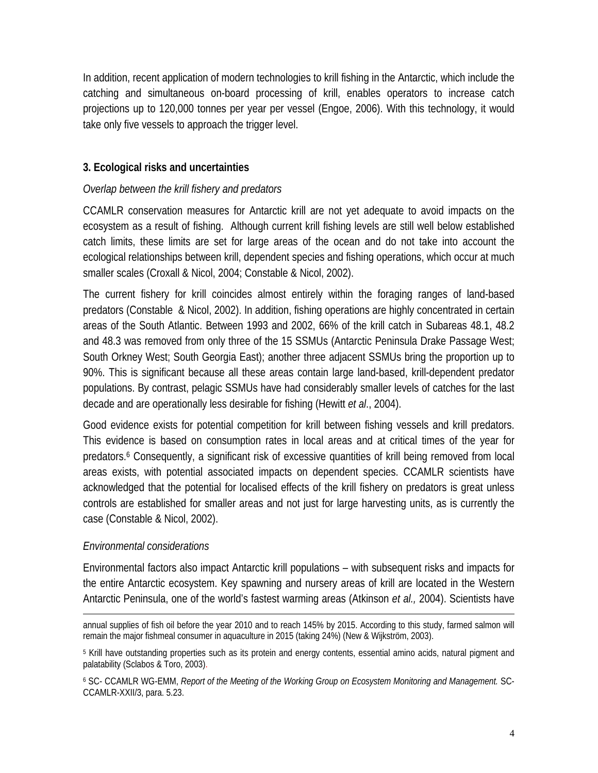In addition, recent application of modern technologies to krill fishing in the Antarctic, which include the catching and simultaneous on-board processing of krill, enables operators to increase catch projections up to 120,000 tonnes per year per vessel (Engoe, 2006). With this technology, it would take only five vessels to approach the trigger level.

#### **3. Ecological risks and uncertainties**

#### *Overlap between the krill fishery and predators*

CCAMLR conservation measures for Antarctic krill are not yet adequate to avoid impacts on the ecosystem as a result of fishing. Although current krill fishing levels are still well below established catch limits, these limits are set for large areas of the ocean and do not take into account the ecological relationships between krill, dependent species and fishing operations, which occur at much smaller scales (Croxall & Nicol, 2004; Constable & Nicol, 2002).

The current fishery for krill coincides almost entirely within the foraging ranges of land-based predators (Constable & Nicol, 2002). In addition, fishing operations are highly concentrated in certain areas of the South Atlantic. Between 1993 and 2002, 66% of the krill catch in Subareas 48.1, 48.2 and 48.3 was removed from only three of the 15 SSMUs (Antarctic Peninsula Drake Passage West; South Orkney West; South Georgia East); another three adjacent SSMUs bring the proportion up to 90%. This is significant because all these areas contain large land-based, krill-dependent predator populations. By contrast, pelagic SSMUs have had considerably smaller levels of catches for the last decade and are operationally less desirable for fishing (Hewitt *et al*., 2004).

Good evidence exists for potential competition for krill between fishing vessels and krill predators. This evidence is based on consumption rates in local areas and at critical times of the year for predators.6 Consequently, a significant risk of excessive quantities of krill being removed from local areas exists, with potential associated impacts on dependent species. CCAMLR scientists have acknowledged that the potential for localised effects of the krill fishery on predators is great unless controls are established for smaller areas and not just for large harvesting units, as is currently the case (Constable & Nicol, 2002).

#### *Environmental considerations*

Environmental factors also impact Antarctic krill populations – with subsequent risks and impacts for the entire Antarctic ecosystem. Key spawning and nursery areas of krill are located in the Western Antarctic Peninsula, one of the world's fastest warming areas (Atkinson *et al.,* 2004). Scientists have

<sup>÷</sup> annual supplies of fish oil before the year 2010 and to reach 145% by 2015. According to this study, farmed salmon will remain the major fishmeal consumer in aquaculture in 2015 (taking 24%) (New & Wijkström, 2003).

<sup>&</sup>lt;sup>5</sup> Krill have outstanding properties such as its protein and energy contents, essential amino acids, natural pigment and palatability (Sclabos & Toro, 2003).

<sup>6</sup> SC- CCAMLR WG-EMM, *Report of the Meeting of the Working Group on Ecosystem Monitoring and Management.* SC-CCAMLR-XXII/3, para. 5.23.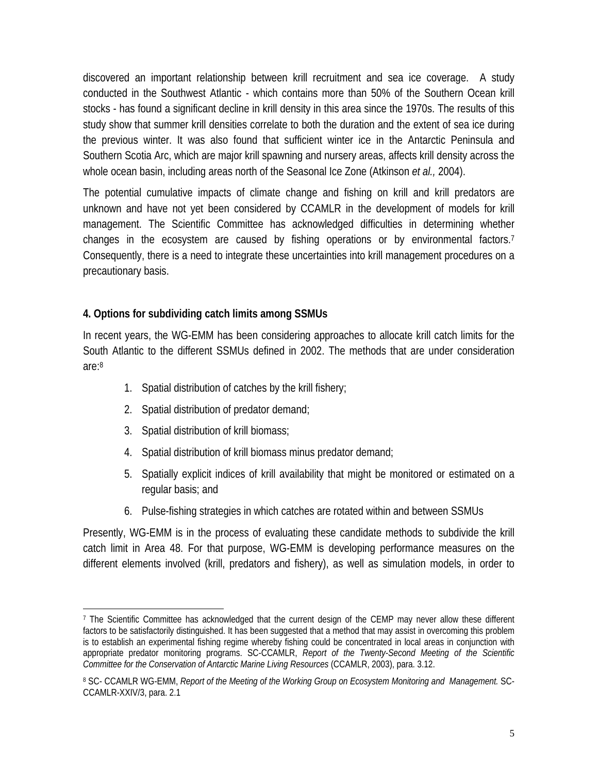discovered an important relationship between krill recruitment and sea ice coverage. A study conducted in the Southwest Atlantic - which contains more than 50% of the Southern Ocean krill stocks - has found a significant decline in krill density in this area since the 1970s. The results of this study show that summer krill densities correlate to both the duration and the extent of sea ice during the previous winter. It was also found that sufficient winter ice in the Antarctic Peninsula and Southern Scotia Arc, which are major krill spawning and nursery areas, affects krill density across the whole ocean basin, including areas north of the Seasonal Ice Zone (Atkinson *et al.,* 2004).

The potential cumulative impacts of climate change and fishing on krill and krill predators are unknown and have not yet been considered by CCAMLR in the development of models for krill management. The Scientific Committee has acknowledged difficulties in determining whether changes in the ecosystem are caused by fishing operations or by environmental factors.<sup>7</sup> Consequently, there is a need to integrate these uncertainties into krill management procedures on a precautionary basis.

#### **4. Options for subdividing catch limits among SSMUs**

In recent years, the WG-EMM has been considering approaches to allocate krill catch limits for the South Atlantic to the different SSMUs defined in 2002. The methods that are under consideration are:8

- 1. Spatial distribution of catches by the krill fishery;
- 2. Spatial distribution of predator demand;
- 3. Spatial distribution of krill biomass;

÷,

- 4. Spatial distribution of krill biomass minus predator demand;
- 5. Spatially explicit indices of krill availability that might be monitored or estimated on a regular basis; and
- 6. Pulse-fishing strategies in which catches are rotated within and between SSMUs

Presently, WG-EMM is in the process of evaluating these candidate methods to subdivide the krill catch limit in Area 48. For that purpose, WG-EMM is developing performance measures on the different elements involved (krill, predators and fishery), as well as simulation models, in order to

<sup>7</sup> The Scientific Committee has acknowledged that the current design of the CEMP may never allow these different factors to be satisfactorily distinguished. It has been suggested that a method that may assist in overcoming this problem is to establish an experimental fishing regime whereby fishing could be concentrated in local areas in conjunction with appropriate predator monitoring programs. SC-CCAMLR, *Report of the Twenty-Second Meeting of the Scientific Committee for the Conservation of Antarctic Marine Living Resources* (CCAMLR, 2003), para. 3.12.

<sup>8</sup> SC- CCAMLR WG-EMM, *Report of the Meeting of the Working Group on Ecosystem Monitoring and Management.* SC-CCAMLR-XXIV/3, para. 2.1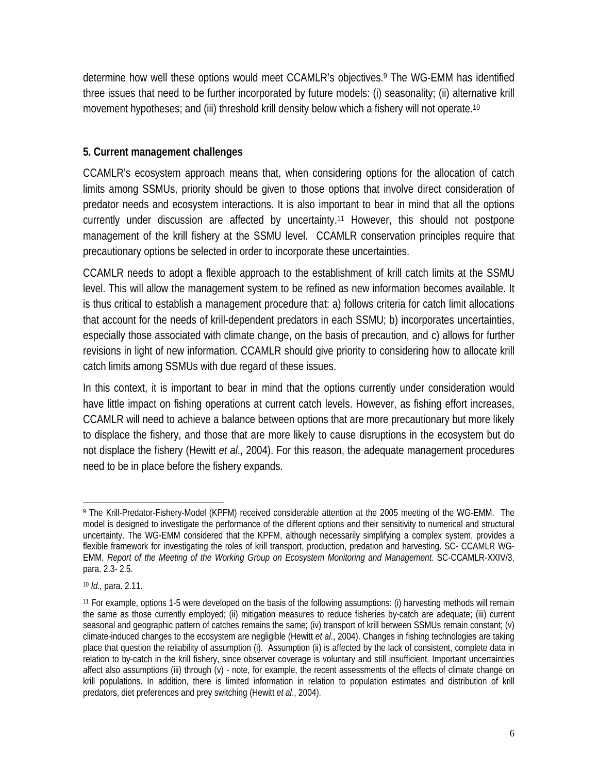determine how well these options would meet CCAMLR's objectives.9 The WG-EMM has identified three issues that need to be further incorporated by future models: (i) seasonality; (ii) alternative krill movement hypotheses; and (iii) threshold krill density below which a fishery will not operate.<sup>10</sup>

#### **5. Current management challenges**

CCAMLR's ecosystem approach means that, when considering options for the allocation of catch limits among SSMUs, priority should be given to those options that involve direct consideration of predator needs and ecosystem interactions. It is also important to bear in mind that all the options currently under discussion are affected by uncertainty.11 However, this should not postpone management of the krill fishery at the SSMU level. CCAMLR conservation principles require that precautionary options be selected in order to incorporate these uncertainties.

CCAMLR needs to adopt a flexible approach to the establishment of krill catch limits at the SSMU level. This will allow the management system to be refined as new information becomes available. It is thus critical to establish a management procedure that: a) follows criteria for catch limit allocations that account for the needs of krill-dependent predators in each SSMU; b) incorporates uncertainties, especially those associated with climate change, on the basis of precaution, and c) allows for further revisions in light of new information. CCAMLR should give priority to considering how to allocate krill catch limits among SSMUs with due regard of these issues.

In this context, it is important to bear in mind that the options currently under consideration would have little impact on fishing operations at current catch levels. However, as fishing effort increases, CCAMLR will need to achieve a balance between options that are more precautionary but more likely to displace the fishery, and those that are more likely to cause disruptions in the ecosystem but do not displace the fishery (Hewitt *et al*., 2004). For this reason, the adequate management procedures need to be in place before the fishery expands.

<sup>÷,</sup> 9 The Krill-Predator-Fishery-Model (KPFM) received considerable attention at the 2005 meeting of the WG-EMM. The model is designed to investigate the performance of the different options and their sensitivity to numerical and structural uncertainty. The WG-EMM considered that the KPFM, although necessarily simplifying a complex system, provides a flexible framework for investigating the roles of krill transport, production, predation and harvesting. SC- CCAMLR WG-EMM, *Report of the Meeting of the Working Group on Ecosystem Monitoring and Management.* SC-CCAMLR-XXIV/3, para. 2.3- 2.5.

<sup>10</sup> *Id.,* para. 2.11.

<sup>11</sup> For example, options 1-5 were developed on the basis of the following assumptions: (i) harvesting methods will remain the same as those currently employed; (ii) mitigation measures to reduce fisheries by-catch are adequate; (iii) current seasonal and geographic pattern of catches remains the same; (iv) transport of krill between SSMUs remain constant; (v) climate-induced changes to the ecosystem are negligible (Hewitt *et al*., 2004). Changes in fishing technologies are taking place that question the reliability of assumption (i). Assumption (ii) is affected by the lack of consistent, complete data in relation to by-catch in the krill fishery, since observer coverage is voluntary and still insufficient. Important uncertainties affect also assumptions (iii) through (v) - note, for example, the recent assessments of the effects of climate change on krill populations. In addition, there is limited information in relation to population estimates and distribution of krill predators, diet preferences and prey switching (Hewitt *et al*., 2004).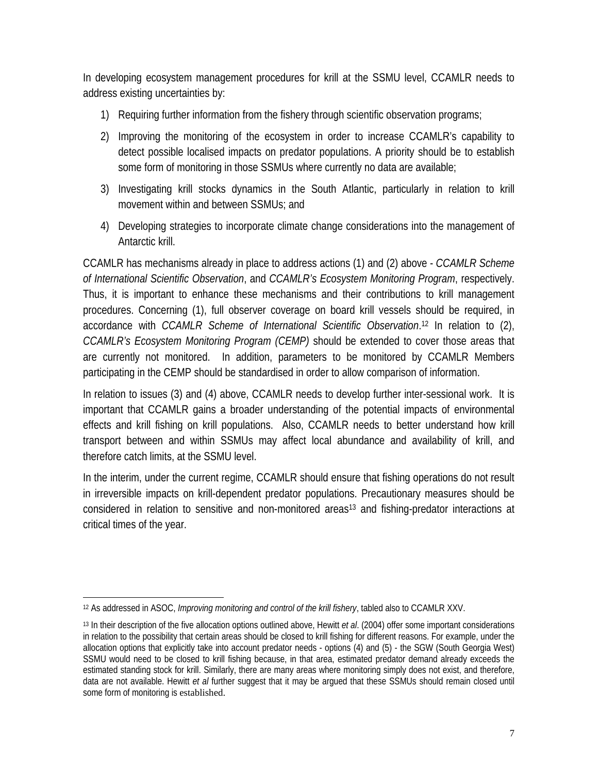In developing ecosystem management procedures for krill at the SSMU level, CCAMLR needs to address existing uncertainties by:

- 1) Requiring further information from the fishery through scientific observation programs;
- 2) Improving the monitoring of the ecosystem in order to increase CCAMLR's capability to detect possible localised impacts on predator populations. A priority should be to establish some form of monitoring in those SSMUs where currently no data are available;
- 3) Investigating krill stocks dynamics in the South Atlantic, particularly in relation to krill movement within and between SSMUs; and
- 4) Developing strategies to incorporate climate change considerations into the management of Antarctic krill.

CCAMLR has mechanisms already in place to address actions (1) and (2) above - *CCAMLR Scheme of International Scientific Observation*, and *CCAMLR's Ecosystem Monitoring Program*, respectively. Thus, it is important to enhance these mechanisms and their contributions to krill management procedures. Concerning (1), full observer coverage on board krill vessels should be required, in accordance with *CCAMLR Scheme of International Scientific Observation*. 12 In relation to (2), *CCAMLR's Ecosystem Monitoring Program (CEMP)* should be extended to cover those areas that are currently not monitored. In addition, parameters to be monitored by CCAMLR Members participating in the CEMP should be standardised in order to allow comparison of information.

In relation to issues (3) and (4) above, CCAMLR needs to develop further inter-sessional work. It is important that CCAMLR gains a broader understanding of the potential impacts of environmental effects and krill fishing on krill populations. Also, CCAMLR needs to better understand how krill transport between and within SSMUs may affect local abundance and availability of krill, and therefore catch limits, at the SSMU level.

In the interim, under the current regime, CCAMLR should ensure that fishing operations do not result in irreversible impacts on krill-dependent predator populations. Precautionary measures should be considered in relation to sensitive and non-monitored areas<sup>13</sup> and fishing-predator interactions at critical times of the year.

<sup>÷,</sup> 12 As addressed in ASOC, *Improving monitoring and control of the krill fishery*, tabled also to CCAMLR XXV.

<sup>13</sup> In their description of the five allocation options outlined above, Hewitt *et al*. (2004) offer some important considerations in relation to the possibility that certain areas should be closed to krill fishing for different reasons. For example, under the allocation options that explicitly take into account predator needs - options (4) and (5) - the SGW (South Georgia West) SSMU would need to be closed to krill fishing because, in that area, estimated predator demand already exceeds the estimated standing stock for krill. Similarly, there are many areas where monitoring simply does not exist, and therefore, data are not available. Hewitt *et al* further suggest that it may be argued that these SSMUs should remain closed until some form of monitoring is established.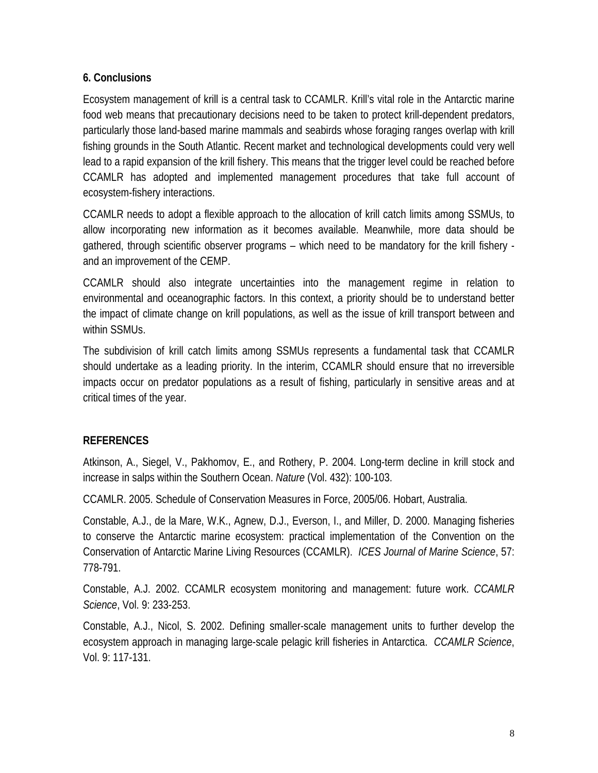#### **6. Conclusions**

Ecosystem management of krill is a central task to CCAMLR. Krill's vital role in the Antarctic marine food web means that precautionary decisions need to be taken to protect krill-dependent predators, particularly those land-based marine mammals and seabirds whose foraging ranges overlap with krill fishing grounds in the South Atlantic. Recent market and technological developments could very well lead to a rapid expansion of the krill fishery. This means that the trigger level could be reached before CCAMLR has adopted and implemented management procedures that take full account of ecosystem-fishery interactions.

CCAMLR needs to adopt a flexible approach to the allocation of krill catch limits among SSMUs, to allow incorporating new information as it becomes available. Meanwhile, more data should be gathered, through scientific observer programs – which need to be mandatory for the krill fishery and an improvement of the CEMP.

CCAMLR should also integrate uncertainties into the management regime in relation to environmental and oceanographic factors. In this context, a priority should be to understand better the impact of climate change on krill populations, as well as the issue of krill transport between and within SSMUs.

The subdivision of krill catch limits among SSMUs represents a fundamental task that CCAMLR should undertake as a leading priority. In the interim, CCAMLR should ensure that no irreversible impacts occur on predator populations as a result of fishing, particularly in sensitive areas and at critical times of the year.

#### **REFERENCES**

Atkinson, A., Siegel, V., Pakhomov, E., and Rothery, P. 2004. Long-term decline in krill stock and increase in salps within the Southern Ocean. *Nature* (Vol. 432): 100-103.

CCAMLR. 2005. Schedule of Conservation Measures in Force, 2005/06. Hobart, Australia.

Constable, A.J., de la Mare, W.K., Agnew, D.J., Everson, I., and Miller, D. 2000. Managing fisheries to conserve the Antarctic marine ecosystem: practical implementation of the Convention on the Conservation of Antarctic Marine Living Resources (CCAMLR). *ICES Journal of Marine Science*, 57: 778-791.

Constable, A.J. 2002. CCAMLR ecosystem monitoring and management: future work. *CCAMLR Science*, Vol. 9: 233-253.

Constable, A.J., Nicol, S. 2002. Defining smaller-scale management units to further develop the ecosystem approach in managing large-scale pelagic krill fisheries in Antarctica. *CCAMLR Science*, Vol. 9: 117-131.